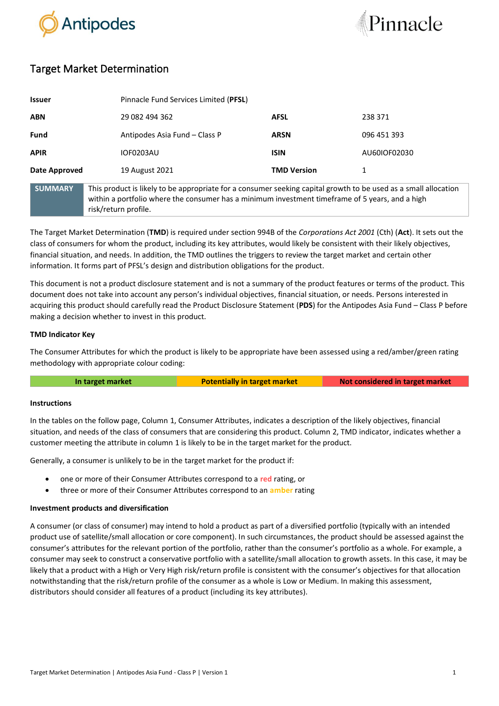



# Target Market Determination

| <b>Issuer</b>  |                                                                                                                                                                                                                                            | Pinnacle Fund Services Limited (PFSL) |              |
|----------------|--------------------------------------------------------------------------------------------------------------------------------------------------------------------------------------------------------------------------------------------|---------------------------------------|--------------|
| <b>ABN</b>     | 29 082 494 362                                                                                                                                                                                                                             | <b>AFSL</b>                           | 238 371      |
| <b>Fund</b>    | Antipodes Asia Fund – Class P                                                                                                                                                                                                              | <b>ARSN</b>                           | 096 451 393  |
| <b>APIR</b>    | <b>IOF0203AU</b>                                                                                                                                                                                                                           | <b>ISIN</b>                           | AU60IOF02030 |
| Date Approved  | 19 August 2021                                                                                                                                                                                                                             | <b>TMD Version</b>                    | 1            |
| <b>SUMMARY</b> | This product is likely to be appropriate for a consumer seeking capital growth to be used as a small allocation<br>within a portfolio where the consumer has a minimum investment timeframe of 5 years, and a high<br>risk/return profile. |                                       |              |

The Target Market Determination (**TMD**) is required under section 994B of the *Corporations Act 2001* (Cth) (**Act**). It sets out the class of consumers for whom the product, including its key attributes, would likely be consistent with their likely objectives, financial situation, and needs. In addition, the TMD outlines the triggers to review the target market and certain other information. It forms part of PFSL's design and distribution obligations for the product.

This document is not a product disclosure statement and is not a summary of the product features or terms of the product. This document does not take into account any person's individual objectives, financial situation, or needs. Persons interested in acquiring this product should carefully read the Product Disclosure Statement (**PDS**) for the Antipodes Asia Fund – Class P before making a decision whether to invest in this product.

## **TMD Indicator Key**

The Consumer Attributes for which the product is likely to be appropriate have been assessed using a red/amber/green rating methodology with appropriate colour coding:

| In target market<br><b>Potentially in target market</b> | Not considered in target market |
|---------------------------------------------------------|---------------------------------|
|---------------------------------------------------------|---------------------------------|

### **Instructions**

In the tables on the follow page, Column 1, Consumer Attributes, indicates a description of the likely objectives, financial situation, and needs of the class of consumers that are considering this product. Column 2, TMD indicator, indicates whether a customer meeting the attribute in column 1 is likely to be in the target market for the product.

Generally, a consumer is unlikely to be in the target market for the product if:

- one or more of their Consumer Attributes correspond to a **red** rating, or
- three or more of their Consumer Attributes correspond to an **amber** rating

### **Investment products and diversification**

A consumer (or class of consumer) may intend to hold a product as part of a diversified portfolio (typically with an intended product use of satellite/small allocation or core component). In such circumstances, the product should be assessed against the consumer's attributes for the relevant portion of the portfolio, rather than the consumer's portfolio as a whole. For example, a consumer may seek to construct a conservative portfolio with a satellite/small allocation to growth assets. In this case, it may be likely that a product with a High or Very High risk/return profile is consistent with the consumer's objectives for that allocation notwithstanding that the risk/return profile of the consumer as a whole is Low or Medium. In making this assessment, distributors should consider all features of a product (including its key attributes).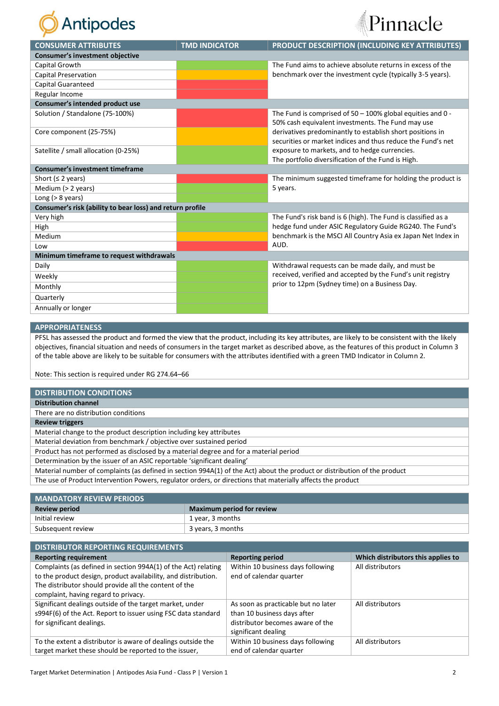



| <b>CONSUMER ATTRIBUTES</b>                                | <b>TMD INDICATOR</b> | PRODUCT DESCRIPTION (INCLUDING KEY ATTRIBUTES)                |
|-----------------------------------------------------------|----------------------|---------------------------------------------------------------|
| <b>Consumer's investment objective</b>                    |                      |                                                               |
| Capital Growth                                            |                      | The Fund aims to achieve absolute returns in excess of the    |
| <b>Capital Preservation</b>                               |                      | benchmark over the investment cycle (typically 3-5 years).    |
| <b>Capital Guaranteed</b>                                 |                      |                                                               |
| Regular Income                                            |                      |                                                               |
| Consumer's intended product use                           |                      |                                                               |
| Solution / Standalone (75-100%)                           |                      | The Fund is comprised of $50 - 100\%$ global equities and 0 - |
|                                                           |                      | 50% cash equivalent investments. The Fund may use             |
| Core component (25-75%)                                   |                      | derivatives predominantly to establish short positions in     |
|                                                           |                      | securities or market indices and thus reduce the Fund's net   |
| Satellite / small allocation (0-25%)                      |                      | exposure to markets, and to hedge currencies.                 |
|                                                           |                      | The portfolio diversification of the Fund is High.            |
| <b>Consumer's investment timeframe</b>                    |                      |                                                               |
| Short ( $\leq$ 2 years)                                   |                      | The minimum suggested timeframe for holding the product is    |
| Medium (> 2 years)                                        |                      | 5 years.                                                      |
| Long $(> 8$ years)                                        |                      |                                                               |
| Consumer's risk (ability to bear loss) and return profile |                      |                                                               |
| Very high                                                 |                      | The Fund's risk band is 6 (high). The Fund is classified as a |
| High                                                      |                      | hedge fund under ASIC Regulatory Guide RG240. The Fund's      |
| Medium                                                    |                      | benchmark is the MSCI All Country Asia ex Japan Net Index in  |
| Low                                                       |                      | AUD.                                                          |
| Minimum timeframe to request withdrawals                  |                      |                                                               |
| Daily                                                     |                      | Withdrawal requests can be made daily, and must be            |
| Weekly                                                    |                      | received, verified and accepted by the Fund's unit registry   |
| Monthly                                                   |                      | prior to 12pm (Sydney time) on a Business Day.                |
| Quarterly                                                 |                      |                                                               |
| Annually or longer                                        |                      |                                                               |

#### **APPROPRIATENESS**

PFSL has assessed the product and formed the view that the product, including its key attributes, are likely to be consistent with the likely objectives, financial situation and needs of consumers in the target market as described above, as the features of this product in Column 3 of the table above are likely to be suitable for consumers with the attributes identified with a green TMD Indicator in Column 2.

Note: This section is required under RG 274.64–66

| <b>DISTRIBUTION CONDITIONS</b>                                                                                            |
|---------------------------------------------------------------------------------------------------------------------------|
| <b>Distribution channel</b>                                                                                               |
| There are no distribution conditions                                                                                      |
| <b>Review triggers</b>                                                                                                    |
| Material change to the product description including key attributes                                                       |
| Material deviation from benchmark / objective over sustained period                                                       |
| Product has not performed as disclosed by a material degree and for a material period                                     |
| Determination by the issuer of an ASIC reportable 'significant dealing'                                                   |
| Material number of complaints (as defined in section 994A(1) of the Act) about the product or distribution of the product |
| The use of Product Intervention Powers, regulator orders, or directions that materially affects the product               |
|                                                                                                                           |

| <b>MANDATORY REVIEW PERIODS</b> |                                  |
|---------------------------------|----------------------------------|
| <b>Review period</b>            | <b>Maximum period for review</b> |
| Initial review                  | 1 year, 3 months                 |
| Subsequent review               | 3 years, 3 months                |
|                                 |                                  |

| <b>DISTRIBUTOR REPORTING REQUIREMENTS</b>                                                                                                                                                                                         |                                                                                                                               |                                    |
|-----------------------------------------------------------------------------------------------------------------------------------------------------------------------------------------------------------------------------------|-------------------------------------------------------------------------------------------------------------------------------|------------------------------------|
| <b>Reporting requirement</b>                                                                                                                                                                                                      | <b>Reporting period</b>                                                                                                       | Which distributors this applies to |
| Complaints (as defined in section 994A(1) of the Act) relating<br>to the product design, product availability, and distribution.<br>The distributor should provide all the content of the<br>complaint, having regard to privacy. | Within 10 business days following<br>end of calendar quarter                                                                  | All distributors                   |
| Significant dealings outside of the target market, under<br>s994F(6) of the Act. Report to issuer using FSC data standard<br>for significant dealings.                                                                            | As soon as practicable but no later<br>than 10 business days after<br>distributor becomes aware of the<br>significant dealing | All distributors                   |
| To the extent a distributor is aware of dealings outside the<br>target market these should be reported to the issuer,                                                                                                             | Within 10 business days following<br>end of calendar quarter                                                                  | All distributors                   |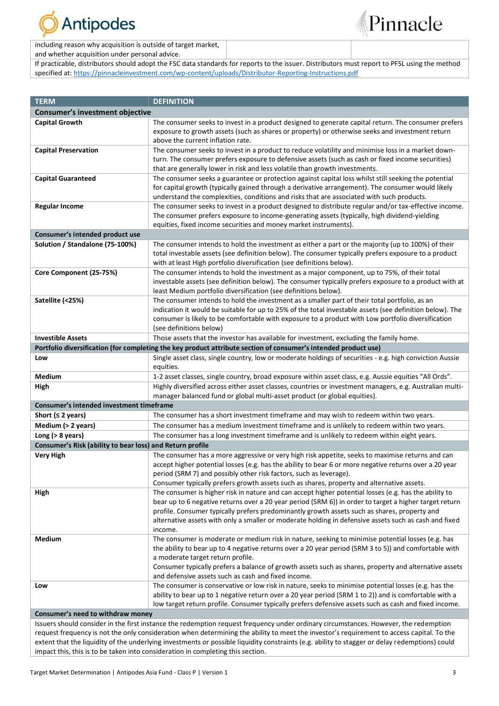

Pinnacle

including reason why acquisition is outside of target market,

and whether acquisition under personal advice.

If practicable, distributors should adopt the FSC data standards for reports to the issuer. Distributors must report to PFSL using the method specified at: [https://pinnacleinvestment.com/wp-content/uploads/Distributor-Reporting-Instructions.pdf](https://aus01.safelinks.protection.outlook.com/?url=https%3A%2F%2Fpinnacleinvestment.com%2Fwp-content%2Fuploads%2FDistributor-Reporting-Instructions.pdf&data=04%7C01%7CRobbie.Zhong%40pinnacleinvestment.com%7Cb4c1b788df954b03f26408d9675577fa%7C35cf8e31ecbc469399faa3d4d4dbd0de%7C0%7C0%7C637654439063852174%7CUnknown%7CTWFpbGZsb3d8eyJWIjoiMC4wLjAwMDAiLCJQIjoiV2luMzIiLCJBTiI6Ik1haWwiLCJXVCI6Mn0%3D%7C1000&sdata=z3%2BDpshdl6t4wDnSgUIdZS0YIuaCk9GXg1FCwIAbEV4%3D&reserved=0)

| <b>TERM</b>                                               | <b>DEFINITION</b>                                                                                                                                                                                                                                                                                                                                                                                                                   |
|-----------------------------------------------------------|-------------------------------------------------------------------------------------------------------------------------------------------------------------------------------------------------------------------------------------------------------------------------------------------------------------------------------------------------------------------------------------------------------------------------------------|
| Consumer's investment objective                           |                                                                                                                                                                                                                                                                                                                                                                                                                                     |
| <b>Capital Growth</b>                                     | The consumer seeks to invest in a product designed to generate capital return. The consumer prefers<br>exposure to growth assets (such as shares or property) or otherwise seeks and investment return<br>above the current inflation rate.                                                                                                                                                                                         |
| <b>Capital Preservation</b>                               | The consumer seeks to invest in a product to reduce volatility and minimise loss in a market down-<br>turn. The consumer prefers exposure to defensive assets (such as cash or fixed income securities)<br>that are generally lower in risk and less volatile than growth investments.                                                                                                                                              |
| <b>Capital Guaranteed</b>                                 | The consumer seeks a guarantee or protection against capital loss whilst still seeking the potential<br>for capital growth (typically gained through a derivative arrangement). The consumer would likely<br>understand the complexities, conditions and risks that are associated with such products.                                                                                                                              |
| <b>Regular Income</b>                                     | The consumer seeks to invest in a product designed to distribute regular and/or tax-effective income.<br>The consumer prefers exposure to income-generating assets (typically, high dividend-yielding<br>equities, fixed income securities and money market instruments).                                                                                                                                                           |
| Consumer's intended product use                           |                                                                                                                                                                                                                                                                                                                                                                                                                                     |
| Solution / Standalone (75-100%)                           | The consumer intends to hold the investment as either a part or the majority (up to 100%) of their<br>total investable assets (see definition below). The consumer typically prefers exposure to a product<br>with at least High portfolio diversification (see definitions below).                                                                                                                                                 |
| Core Component (25-75%)                                   | The consumer intends to hold the investment as a major component, up to 75%, of their total<br>investable assets (see definition below). The consumer typically prefers exposure to a product with at<br>least Medium portfolio diversification (see definitions below).                                                                                                                                                            |
| Satellite (<25%)                                          | The consumer intends to hold the investment as a smaller part of their total portfolio, as an<br>indication it would be suitable for up to 25% of the total investable assets (see definition below). The<br>consumer is likely to be comfortable with exposure to a product with Low portfolio diversification<br>(see definitions below)                                                                                          |
| <b>Investible Assets</b>                                  | Those assets that the investor has available for investment, excluding the family home.                                                                                                                                                                                                                                                                                                                                             |
|                                                           | Portfolio diversification (for completing the key product attribute section of consumer's intended product use)                                                                                                                                                                                                                                                                                                                     |
| Low                                                       | Single asset class, single country, low or moderate holdings of securities - e.g. high conviction Aussie<br>equities.                                                                                                                                                                                                                                                                                                               |
| Medium                                                    | 1-2 asset classes, single country, broad exposure within asset class, e.g. Aussie equities "All Ords".                                                                                                                                                                                                                                                                                                                              |
| High                                                      | Highly diversified across either asset classes, countries or investment managers, e.g. Australian multi-<br>manager balanced fund or global multi-asset product (or global equities).                                                                                                                                                                                                                                               |
| Consumer's intended investment timeframe                  |                                                                                                                                                                                                                                                                                                                                                                                                                                     |
| Short ( $\leq$ 2 years)                                   | The consumer has a short investment timeframe and may wish to redeem within two years.                                                                                                                                                                                                                                                                                                                                              |
| Medium (> 2 years)                                        | The consumer has a medium investment timeframe and is unlikely to redeem within two years.                                                                                                                                                                                                                                                                                                                                          |
| Long $(> 8$ years)                                        | The consumer has a long investment timeframe and is unlikely to redeem within eight years.                                                                                                                                                                                                                                                                                                                                          |
| Consumer's Risk (ability to bear loss) and Return profile |                                                                                                                                                                                                                                                                                                                                                                                                                                     |
| <b>Very High</b>                                          | The consumer has a more aggressive or very high risk appetite, seeks to maximise returns and can<br>accept higher potential losses (e.g. has the ability to bear 6 or more negative returns over a 20 year<br>period (SRM 7) and possibly other risk factors, such as leverage).<br>Consumer typically prefers growth assets such as shares, property and alternative assets.                                                       |
| High                                                      | The consumer is higher risk in nature and can accept higher potential losses (e.g. has the ability to<br>bear up to 6 negative returns over a 20 year period (SRM 6)) in order to target a higher target return<br>profile. Consumer typically prefers predominantly growth assets such as shares, property and<br>alternative assets with only a smaller or moderate holding in defensive assets such as cash and fixed<br>income. |
| Medium                                                    | The consumer is moderate or medium risk in nature, seeking to minimise potential losses (e.g. has<br>the ability to bear up to 4 negative returns over a 20 year period (SRM 3 to 5)) and comfortable with<br>a moderate target return profile.<br>Consumer typically prefers a balance of growth assets such as shares, property and alternative assets<br>and defensive assets such as cash and fixed income.                     |
| Low                                                       | The consumer is conservative or low risk in nature, seeks to minimise potential losses (e.g. has the<br>ability to bear up to 1 negative return over a 20 year period (SRM 1 to 2)) and is comfortable with a<br>low target return profile. Consumer typically prefers defensive assets such as cash and fixed income.                                                                                                              |
| Consumer's need to withdraw money                         |                                                                                                                                                                                                                                                                                                                                                                                                                                     |
|                                                           | Issuers should consider in the first instance the redemption request frequency under ordinary circumstances. However, the redemption                                                                                                                                                                                                                                                                                                |
|                                                           | request frequency is not the only consideration when determining the ability to meet the investor's requirement to access capital. To the                                                                                                                                                                                                                                                                                           |

extent that the liquidity of the underlying investments or possible liquidity constraints (e.g. ability to stagger or delay redemptions) could

impact this, this is to be taken into consideration in completing this section.